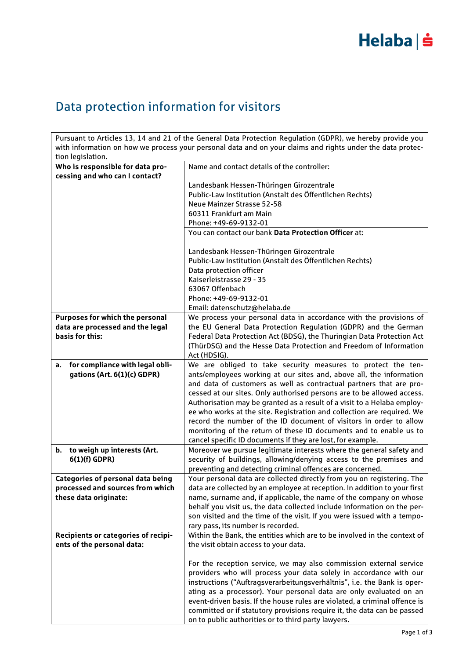### Data protection information for visitors

Pursuant to Articles 13, 14 and 21 of the General Data Protection Regulation (GDPR), we hereby provide you with information on how we process your personal data and on your claims and rights under the data protection legislation. **Who is responsible for data processing and who can I contact?** Name and contact details of the controller: Landesbank Hessen-Thüringen Girozentrale Public-Law Institution (Anstalt des Öffentlichen Rechts) Neue Mainzer Strasse 52-58 60311 Frankfurt am Main Phone: +49-69-9132-01 You can contact our bank **Data Protection Officer** at: Landesbank Hessen-Thüringen Girozentrale Public-Law Institution (Anstalt des Öffentlichen Rechts) Data protection officer Kaiserleistrasse 29 - 35 63067 Offenbach Phone: +49-69-9132-01 Email: datenschutz@helaba.de **Purposes for which the personal data are processed and the legal basis for this:** We process your personal data in accordance with the provisions of the EU General Data Protection Regulation (GDPR) and the German Federal Data Protection Act (BDSG), the Thuringian Data Protection Act (ThürDSG) and the Hesse Data Protection and Freedom of Information Act (HDSIG). **a. for compliance with legal obligations (Art. 6(1)(c) GDPR)** We are obliged to take security measures to protect the tenants/employees working at our sites and, above all, the information and data of customers as well as contractual partners that are processed at our sites. Only authorised persons are to be allowed access. Authorisation may be granted as a result of a visit to a Helaba employee who works at the site. Registration and collection are required. We record the number of the ID document of visitors in order to allow monitoring of the return of these ID documents and to enable us to cancel specific ID documents if they are lost, for example. **b. to weigh up interests (Art. 6(1)(f) GDPR)** Moreover we pursue legitimate interests where the general safety and security of buildings, allowing/denying access to the premises and preventing and detecting criminal offences are concerned. **Categories of personal data being processed and sources from which these data originate:** Your personal data are collected directly from you on registering. The data are collected by an employee at reception. In addition to your first name, surname and, if applicable, the name of the company on whose behalf you visit us, the data collected include information on the person visited and the time of the visit. If you were issued with a temporary pass, its number is recorded. **Recipients or categories of recipients of the personal data:** Within the Bank, the entities which are to be involved in the context of the visit obtain access to your data. For the reception service, we may also commission external service providers who will process your data solely in accordance with our instructions ("Auftragsverarbeitungsverhältnis", i.e. the Bank is oper-

> ating as a processor). Your personal data are only evaluated on an event-driven basis. If the house rules are violated, a criminal offence is committed or if statutory provisions require it, the data can be passed

on to public authorities or to third party lawyers.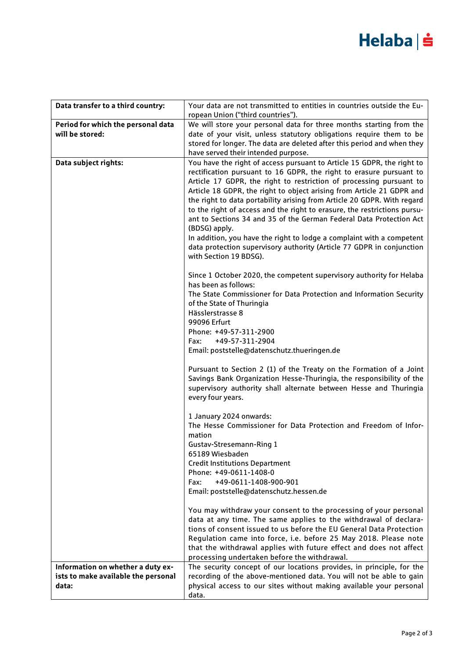# Helaba | s

| Data transfer to a third country:   | Your data are not transmitted to entities in countries outside the Eu-                                                                          |
|-------------------------------------|-------------------------------------------------------------------------------------------------------------------------------------------------|
|                                     | ropean Union ("third countries").                                                                                                               |
| Period for which the personal data  | We will store your personal data for three months starting from the                                                                             |
| will be stored:                     | date of your visit, unless statutory obligations require them to be                                                                             |
|                                     | stored for longer. The data are deleted after this period and when they                                                                         |
|                                     | have served their intended purpose.                                                                                                             |
| Data subject rights:                | You have the right of access pursuant to Article 15 GDPR, the right to                                                                          |
|                                     | rectification pursuant to 16 GDPR, the right to erasure pursuant to                                                                             |
|                                     | Article 17 GDPR, the right to restriction of processing pursuant to                                                                             |
|                                     | Article 18 GDPR, the right to object arising from Article 21 GDPR and                                                                           |
|                                     | the right to data portability arising from Article 20 GDPR. With regard                                                                         |
|                                     | to the right of access and the right to erasure, the restrictions pursu-<br>ant to Sections 34 and 35 of the German Federal Data Protection Act |
|                                     |                                                                                                                                                 |
|                                     | (BDSG) apply.                                                                                                                                   |
|                                     | In addition, you have the right to lodge a complaint with a competent<br>data protection supervisory authority (Article 77 GDPR in conjunction  |
|                                     | with Section 19 BDSG).                                                                                                                          |
|                                     |                                                                                                                                                 |
|                                     | Since 1 October 2020, the competent supervisory authority for Helaba                                                                            |
|                                     | has been as follows:                                                                                                                            |
|                                     | The State Commissioner for Data Protection and Information Security                                                                             |
|                                     | of the State of Thuringia                                                                                                                       |
|                                     | Hässlerstrasse 8                                                                                                                                |
|                                     | 99096 Erfurt                                                                                                                                    |
|                                     | Phone: +49-57-311-2900                                                                                                                          |
|                                     | +49-57-311-2904<br>Fax:                                                                                                                         |
|                                     | Email: poststelle@datenschutz.thueringen.de                                                                                                     |
|                                     | Pursuant to Section 2 (1) of the Treaty on the Formation of a Joint                                                                             |
|                                     | Savings Bank Organization Hesse-Thuringia, the responsibility of the                                                                            |
|                                     | supervisory authority shall alternate between Hesse and Thuringia                                                                               |
|                                     | every four years.                                                                                                                               |
|                                     |                                                                                                                                                 |
|                                     | 1 January 2024 onwards:                                                                                                                         |
|                                     | The Hesse Commissioner for Data Protection and Freedom of Infor-                                                                                |
|                                     | mation                                                                                                                                          |
|                                     | <b>Gustav-Stresemann-Ring 1</b>                                                                                                                 |
|                                     | 65189 Wiesbaden                                                                                                                                 |
|                                     | <b>Credit Institutions Department</b>                                                                                                           |
|                                     | Phone: +49-0611-1408-0                                                                                                                          |
|                                     | +49-0611-1408-900-901<br>Fax:                                                                                                                   |
|                                     | Email: poststelle@datenschutz.hessen.de                                                                                                         |
|                                     | You may withdraw your consent to the processing of your personal                                                                                |
|                                     | data at any time. The same applies to the withdrawal of declara-                                                                                |
|                                     | tions of consent issued to us before the EU General Data Protection                                                                             |
|                                     | Regulation came into force, i.e. before 25 May 2018. Please note                                                                                |
|                                     | that the withdrawal applies with future effect and does not affect                                                                              |
|                                     | processing undertaken before the withdrawal.                                                                                                    |
| Information on whether a duty ex-   | The security concept of our locations provides, in principle, for the                                                                           |
| ists to make available the personal | recording of the above-mentioned data. You will not be able to gain                                                                             |
| data:                               | physical access to our sites without making available your personal                                                                             |
|                                     | data.                                                                                                                                           |